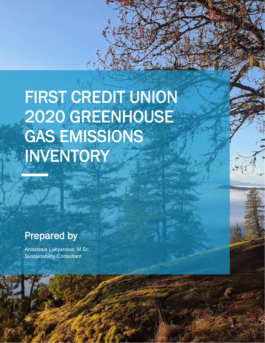# FIRST CREDIT UNION 2020 GREENHOUSE GAS EMISSIONS INVENTORY

1

# Drepered by Prepared by

**SALES** 

and a mart of the My<br>Anastasia Lukyanova, M<br>Sustainability Consultant Anastasia Lukyanova, M.Sc.

 $\mathcal{A}$  and  $\mathcal{A}$ Sustainability Consultant

Prepared by

Prepared by the present

Prepared by

Prepared by

Anastasia Lukyanova, M.Sc. Sustainability Consultant

Anastasia Lukyanova, M.Sc. Sustainability Consultant

Anastasia Lukyanova, M.Sc. Sustainability Consultant

**EMISSIONS**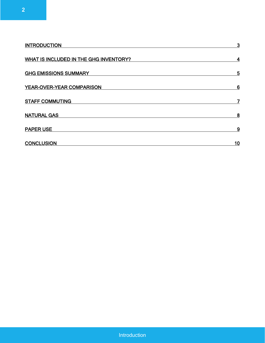| <b>INTRODUCTION</b>                           | $\mathbf{3}$ |
|-----------------------------------------------|--------------|
| <b>WHAT IS INCLUDED IN THE GHG INVENTORY?</b> | 4            |
| <b>GHG EMISSIONS SUMMARY</b>                  | 5            |
| YEAR-OVER-YEAR COMPARISON                     | 6            |
| <b>STAFF COMMUTING</b>                        | 7            |
| <b>NATURAL GAS</b>                            | 8            |
| <b>PAPER USE</b>                              | 9            |
| <b>CONCLUSION</b>                             | 10           |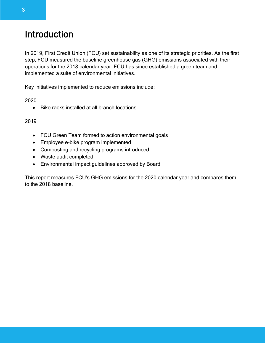# <span id="page-2-0"></span>Introduction

In 2019, First Credit Union (FCU) set sustainability as one of its strategic priorities. As the first step, FCU measured the baseline greenhouse gas (GHG) emissions associated with their operations for the 2018 calendar year. FCU has since established a green team and implemented a suite of environmental initiatives.

Key initiatives implemented to reduce emissions include:

2020

• Bike racks installed at all branch locations

#### 2019

- FCU Green Team formed to action environmental goals
- Employee e-bike program implemented
- Composting and recycling programs introduced
- Waste audit completed
- Environmental impact guidelines approved by Board

<span id="page-2-1"></span>This report measures FCU's GHG emissions for the 2020 calendar year and compares them to the 2018 baseline.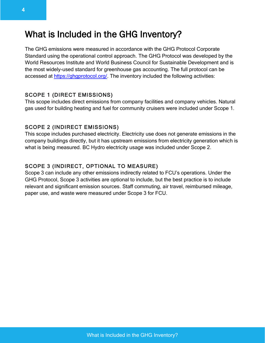### What is Included in the GHG Inventory?

The GHG emissions were measured in accordance with the GHG Protocol Corporate Standard using the operational control approach. The GHG Protocol was developed by the World Resources Institute and World Business Council for Sustainable Development and is the most widely-used standard for greenhouse gas accounting. The full protocol can be accessed at [https://ghgprotocol.org/.](https://ghgprotocol.org/) The inventory included the following activities:

#### SCOPE 1 (DIRECT EMISSIONS)

This scope includes direct emissions from company facilities and company vehicles. Natural gas used for building heating and fuel for community cruisers were included under Scope 1.

#### SCOPE 2 (INDIRECT EMISSIONS)

This scope includes purchased electricity. Electricity use does not generate emissions in the company buildings directly, but it has upstream emissions from electricity generation which is what is being measured. BC Hydro electricity usage was included under Scope 2.

#### SCOPE 3 (INDIRECT, OPTIONAL TO MEASURE)

Scope 3 can include any other emissions indirectly related to FCU's operations. Under the GHG Protocol, Scope 3 activities are optional to include, but the best practice is to include relevant and significant emission sources. Staff commuting, air travel, reimbursed mileage, paper use, and waste were measured under Scope 3 for FCU.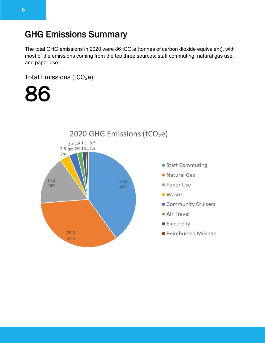# <span id="page-4-0"></span>GHG Emissions Summary

The total GHG emissions in 2020 were 86 tCO<sub>2</sub>e (tonnes of carbon dioxide equivalent), with most of the emissions coming from the top three sources: staff commuting, natural gas use, and paper use.

Total Emissions (tCO<sub>2</sub>e):

86

<span id="page-4-1"></span>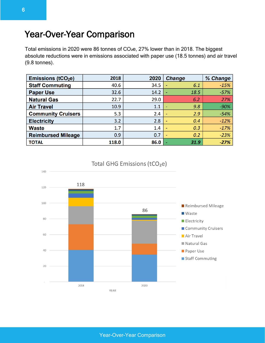### Year-Over-Year Comparison

Total emissions in 2020 were 86 tonnes of CO<sub>2</sub>e, 27% lower than in 2018. The biggest absolute reductions were in emissions associated with paper use (18.5 tonnes) and air travel (9.8 tonnes).

| <b>Emissions (tCO2e)</b>  | 2018  | 2020 | <b>Change</b>                   | % Change |
|---------------------------|-------|------|---------------------------------|----------|
| <b>Staff Commuting</b>    | 40.6  | 34.5 | 6.1                             | $-15%$   |
| <b>Paper Use</b>          | 32.6  | 14.2 | 18.5                            | $-57%$   |
| <b>Natural Gas</b>        | 22.7  | 29.0 | 6.2                             | 27%      |
| <b>Air Travel</b>         | 10.9  | 1.1  | 9.8<br>٠                        | $-90%$   |
| <b>Community Cruisers</b> | 5.3   | 2.4  | 2.9<br>$\overline{\phantom{0}}$ | $-54%$   |
| <b>Electricity</b>        | 3.2   | 2.8  | 0.4                             | $-12%$   |
| <b>Waste</b>              | 1.7   | 1.4  | 0.3                             | $-17%$   |
| <b>Reimbursed Mileage</b> | 0.9   | 0.7  | 0.2<br>$\overline{\phantom{0}}$ | $-23%$   |
| <b>TOTAL</b>              | 118.0 | 86.0 | 31.9                            | $-27%$   |



#### Total GHG Emissions (tCO<sub>2</sub>e)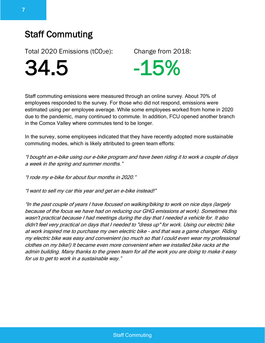# <span id="page-6-0"></span>Staff Commuting

Total 2020 Emissions ( $tCO<sub>2</sub>e$ ): Change from 2018:



Staff commuting emissions were measured through an online survey. About 70% of employees responded to the survey. For those who did not respond, emissions were estimated using per employee average. While some employees worked from home in 2020 due to the pandemic, many continued to commute. In addition, FCU opened another branch in the Comox Valley where commutes tend to be longer.

In the survey, some employees indicated that they have recently adopted more sustainable commuting modes, which is likely attributed to green team efforts:

"I bought an e-bike using our e-bike program and have been riding it to work a couple of days a week in the spring and summer months."

"I rode my e-bike for about four months in 2020."

"I want to sell my car this year and get an e-bike instead!"

"In the past couple of years I have focused on walking/biking to work on nice days (largely because of the focus we have had on reducing our GHG emissions at work). Sometimes this wasn't practical because I had meetings during the day that I needed a vehicle for. It also didn't feel very practical on days that I needed to "dress up" for work. Using our electric bike at work inspired me to purchase my own electric bike - and that was a game changer. Riding my electric bike was easy and convenient (so much so that I could even wear my professional clothes on my bike!) It became even more convenient when we installed bike racks at the admin building. Many thanks to the green team for all the work you are doing to make it easy for us to get to work in a sustainable way."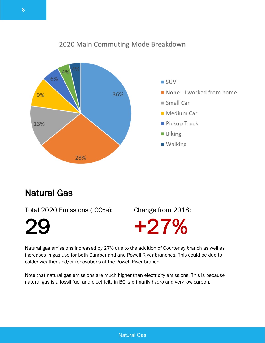### 6% **SUV** None - I worked from home  $9%$ 36% Small Car Medium Car Pickup Truck 13% **Biking** ■ Walking 28%

### 2020 Main Commuting Mode Breakdown

# <span id="page-7-0"></span>Natural Gas

Total 2020 Emissions (tCO<sub>2</sub>e): Change from 2018:

29 +27%

Natural gas emissions increased by 27% due to the addition of Courtenay branch as well as increases in gas use for both Cumberland and Powell River branches. This could be due to colder weather and/or renovations at the Powell River branch.

Note that natural gas emissions are much higher than electricity emissions. This is because natural gas is a fossil fuel and electricity in BC is primarily hydro and very low-carbon.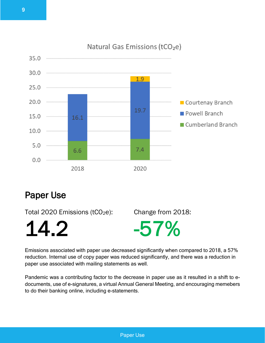

### Natural Gas Emissions (tCO<sub>2</sub>e)

### <span id="page-8-0"></span>Paper Use

Total 2020 Emissions ( $tCO<sub>2</sub>e$ ): Change from 2018:

14.2 -57%

Emissions associated with paper use decreased significantly when compared to 2018, a 57% reduction. Internal use of copy paper was reduced significantly, and there was a reduction in paper use associated with mailing statements as well.

Pandemic was a contributing factor to the decrease in paper use as it resulted in a shift to edocuments, use of e-signatures, a virtual Annual General Meeting, and encouraging memebers to do their banking online, including e-statements.